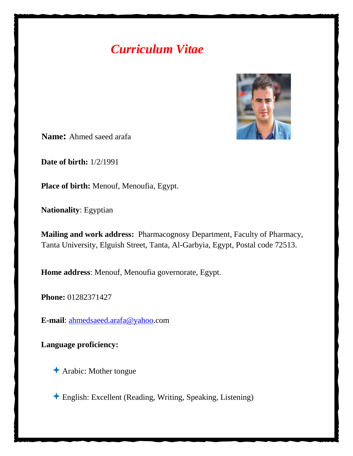# *Curriculum Vitae*



**Name:** Ahmed saeed arafa

**Date of birth:** 1/2/1991

**Place of birth:** Menouf, Menoufia, Egypt.

**Nationality**: Egyptian

**Mailing and work address:** Pharmacognosy Department, Faculty of Pharmacy, Tanta University, Elguish Street, Tanta, Al-Garbyia, Egypt, Postal code 72513.

**Home address**: Menouf, Menoufia governorate, Egypt.

**Phone:** 01282371427

**E-mail**: [ahmedsaeed.arafa@yahoo.](mailto:ahmedsaeed.arafa@yahoo)com

**Language proficiency:** 

Arabic: Mother tongue

English: Excellent (Reading, Writing, Speaking, Listening)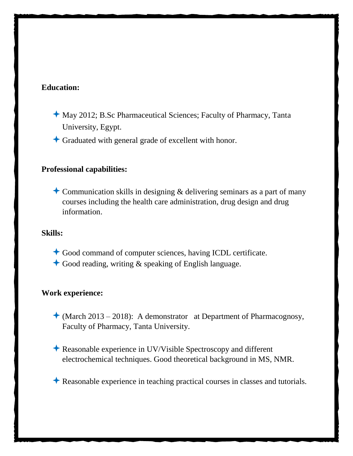## **Education:**

- May 2012; B.Sc Pharmaceutical Sciences; Faculty of Pharmacy, Tanta University, Egypt.
- Graduated with general grade of excellent with honor.

## **Professional capabilities:**

**Communication skills in designing & delivering seminars as a part of many** courses including the health care administration, drug design and drug information.

#### **Skills:**

- Good command of computer sciences, having ICDL certificate.
- $\triangle$  Good reading, writing & speaking of English language.

# **Work experience:**

- $\triangle$  (March 2013 2018): A demonstrator at Department of Pharmacognosy, Faculty of Pharmacy, Tanta University.
- Reasonable experience in UV/Visible Spectroscopy and different electrochemical techniques. Good theoretical background in MS, NMR.
- Reasonable experience in teaching practical courses in classes and tutorials.